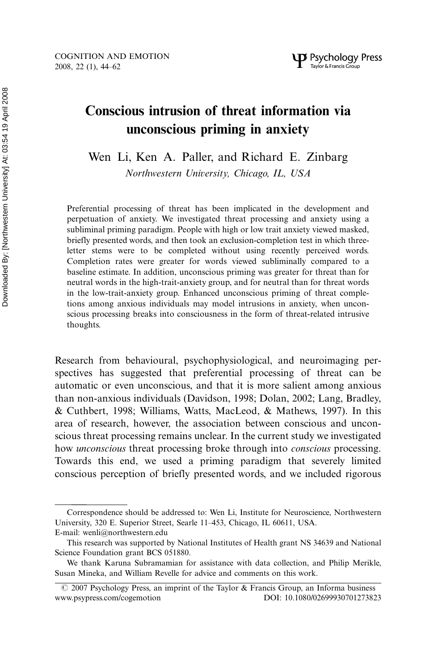# Conscious intrusion of threat information via unconscious priming in anxiety

Wen Li, Ken A. Paller, and Richard E. Zinbarg

Northwestern University, Chicago, IL, USA

Preferential processing of threat has been implicated in the development and perpetuation of anxiety. We investigated threat processing and anxiety using a subliminal priming paradigm. People with high or low trait anxiety viewed masked, briefly presented words, and then took an exclusion-completion test in which threeletter stems were to be completed without using recently perceived words. Completion rates were greater for words viewed subliminally compared to a baseline estimate. In addition, unconscious priming was greater for threat than for neutral words in the high-trait-anxiety group, and for neutral than for threat words in the low-trait-anxiety group. Enhanced unconscious priming of threat completions among anxious individuals may model intrusions in anxiety, when unconscious processing breaks into consciousness in the form of threat-related intrusive thoughts.

Research from behavioural, psychophysiological, and neuroimaging perspectives has suggested that preferential processing of threat can be automatic or even unconscious, and that it is more salient among anxious than non-anxious individuals (Davidson, 1998; Dolan, 2002; Lang, Bradley, & Cuthbert, 1998; Williams, Watts, MacLeod, & Mathews, 1997). In this area of research, however, the association between conscious and unconscious threat processing remains unclear. In the current study we investigated how unconscious threat processing broke through into conscious processing. Towards this end, we used a priming paradigm that severely limited conscious perception of briefly presented words, and we included rigorous

Correspondence should be addressed to: Wen Li, Institute for Neuroscience, Northwestern University, 320 E. Superior Street, Searle 11-453, Chicago, IL 60611, USA.

E-mail: wenli@northwestern.edu

This research was supported by National Institutes of Health grant NS 34639 and National Science Foundation grant BCS 051880.

We thank Karuna Subramamian for assistance with data collection, and Philip Merikle, Susan Mineka, and William Revelle for advice and comments on this work.

 $\odot$  2007 Psychology Press, an imprint of the Taylor & Francis Group, an Informa business www.psypress.com/cogemotion DOI: 10.1080/02699930701273823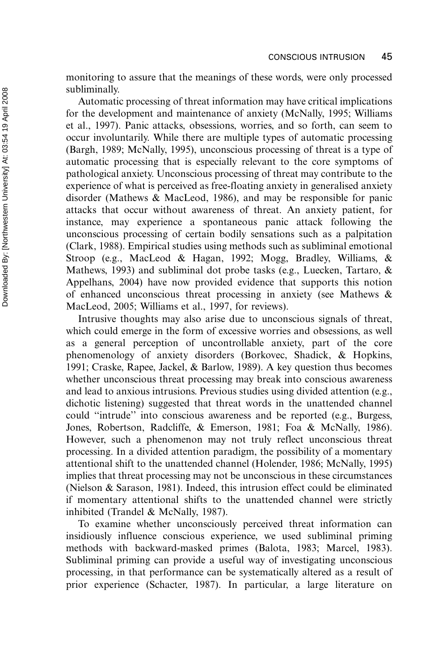monitoring to assure that the meanings of these words, were only processed subliminally.

Automatic processing of threat information may have critical implications for the development and maintenance of anxiety (McNally, 1995; Williams et al., 1997). Panic attacks, obsessions, worries, and so forth, can seem to occur involuntarily. While there are multiple types of automatic processing (Bargh, 1989; McNally, 1995), unconscious processing of threat is a type of automatic processing that is especially relevant to the core symptoms of pathological anxiety. Unconscious processing of threat may contribute to the experience of what is perceived as free-floating anxiety in generalised anxiety disorder (Mathews & MacLeod, 1986), and may be responsible for panic attacks that occur without awareness of threat. An anxiety patient, for instance, may experience a spontaneous panic attack following the unconscious processing of certain bodily sensations such as a palpitation (Clark, 1988). Empirical studies using methods such as subliminal emotional Stroop (e.g., MacLeod & Hagan, 1992; Mogg, Bradley, Williams, & Mathews, 1993) and subliminal dot probe tasks (e.g., Luecken, Tartaro, & Appelhans, 2004) have now provided evidence that supports this notion of enhanced unconscious threat processing in anxiety (see Mathews & MacLeod, 2005; Williams et al., 1997, for reviews).

Intrusive thoughts may also arise due to unconscious signals of threat, which could emerge in the form of excessive worries and obsessions, as well as a general perception of uncontrollable anxiety, part of the core phenomenology of anxiety disorders (Borkovec, Shadick, & Hopkins, 1991; Craske, Rapee, Jackel, & Barlow, 1989). A key question thus becomes whether unconscious threat processing may break into conscious awareness and lead to anxious intrusions. Previous studies using divided attention (e.g., dichotic listening) suggested that threat words in the unattended channel could ''intrude'' into conscious awareness and be reported (e.g., Burgess, Jones, Robertson, Radcliffe, & Emerson, 1981; Foa & McNally, 1986). However, such a phenomenon may not truly reflect unconscious threat processing. In a divided attention paradigm, the possibility of a momentary attentional shift to the unattended channel (Holender, 1986; McNally, 1995) implies that threat processing may not be unconscious in these circumstances (Nielson & Sarason, 1981). Indeed, this intrusion effect could be eliminated if momentary attentional shifts to the unattended channel were strictly inhibited (Trandel & McNally, 1987).

To examine whether unconsciously perceived threat information can insidiously influence conscious experience, we used subliminal priming methods with backward-masked primes (Balota, 1983; Marcel, 1983). Subliminal priming can provide a useful way of investigating unconscious processing, in that performance can be systematically altered as a result of prior experience (Schacter, 1987). In particular, a large literature on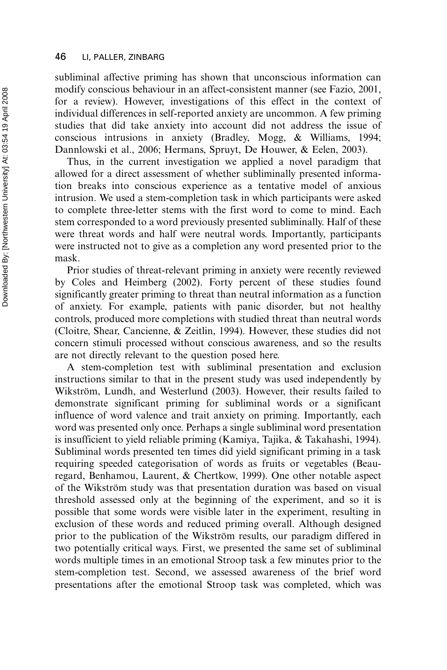subliminal affective priming has shown that unconscious information can modify conscious behaviour in an affect-consistent manner (see Fazio, 2001, for a review). However, investigations of this effect in the context of individual differences in self-reported anxiety are uncommon. A few priming studies that did take anxiety into account did not address the issue of conscious intrusions in anxiety (Bradley, Mogg, & Williams, 1994; Dannlowski et al., 2006; Hermans, Spruyt, De Houwer, & Eelen, 2003).

Thus, in the current investigation we applied a novel paradigm that allowed for a direct assessment of whether subliminally presented information breaks into conscious experience as a tentative model of anxious intrusion. We used a stem-completion task in which participants were asked to complete three-letter stems with the first word to come to mind. Each stem corresponded to a word previously presented subliminally. Half of these were threat words and half were neutral words. Importantly, participants were instructed not to give as a completion any word presented prior to the mask.

Prior studies of threat-relevant priming in anxiety were recently reviewed by Coles and Heimberg (2002). Forty percent of these studies found significantly greater priming to threat than neutral information as a function of anxiety. For example, patients with panic disorder, but not healthy controls, produced more completions with studied threat than neutral words (Cloitre, Shear, Cancienne, & Zeitlin, 1994). However, these studies did not concern stimuli processed without conscious awareness, and so the results are not directly relevant to the question posed here.

A stem-completion test with subliminal presentation and exclusion instructions similar to that in the present study was used independently by Wikström, Lundh, and Westerlund (2003). However, their results failed to demonstrate significant priming for subliminal words or a significant influence of word valence and trait anxiety on priming. Importantly, each word was presented only once. Perhaps a single subliminal word presentation is insufficient to yield reliable priming (Kamiya, Tajika, & Takahashi, 1994). Subliminal words presented ten times did yield significant priming in a task requiring speeded categorisation of words as fruits or vegetables (Beauregard, Benhamou, Laurent, & Chertkow, 1999). One other notable aspect of the Wikström study was that presentation duration was based on visual threshold assessed only at the beginning of the experiment, and so it is possible that some words were visible later in the experiment, resulting in exclusion of these words and reduced priming overall. Although designed prior to the publication of the Wikström results, our paradigm differed in two potentially critical ways. First, we presented the same set of subliminal words multiple times in an emotional Stroop task a few minutes prior to the stem-completion test. Second, we assessed awareness of the brief word presentations after the emotional Stroop task was completed, which was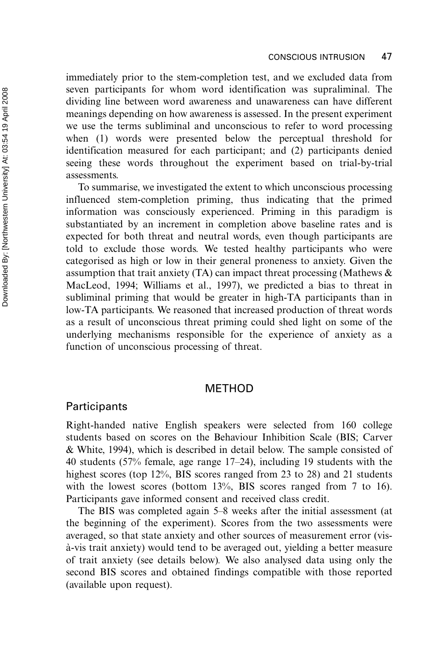immediately prior to the stem-completion test, and we excluded data from seven participants for whom word identification was supraliminal. The dividing line between word awareness and unawareness can have different meanings depending on how awareness is assessed. In the present experiment we use the terms subliminal and unconscious to refer to word processing when (1) words were presented below the perceptual threshold for identification measured for each participant; and (2) participants denied seeing these words throughout the experiment based on trial-by-trial assessments.

To summarise, we investigated the extent to which unconscious processing influenced stem-completion priming, thus indicating that the primed information was consciously experienced. Priming in this paradigm is substantiated by an increment in completion above baseline rates and is expected for both threat and neutral words, even though participants are told to exclude those words. We tested healthy participants who were categorised as high or low in their general proneness to anxiety. Given the assumption that trait anxiety (TA) can impact threat processing (Mathews & MacLeod, 1994; Williams et al., 1997), we predicted a bias to threat in subliminal priming that would be greater in high-TA participants than in low-TA participants. We reasoned that increased production of threat words as a result of unconscious threat priming could shed light on some of the underlying mechanisms responsible for the experience of anxiety as a function of unconscious processing of threat.

#### METHOD

#### **Participants**

Right-handed native English speakers were selected from 160 college students based on scores on the Behaviour Inhibition Scale (BIS; Carver & White, 1994), which is described in detail below. The sample consisted of 40 students  $(57\%$  female, age range  $17-24$ ), including 19 students with the highest scores (top 12%, BIS scores ranged from 23 to 28) and 21 students with the lowest scores (bottom 13%, BIS scores ranged from 7 to 16). Participants gave informed consent and received class credit.

The BIS was completed again 5–8 weeks after the initial assessment (at the beginning of the experiment). Scores from the two assessments were averaged, so that state anxiety and other sources of measurement error (visa`-vis trait anxiety) would tend to be averaged out, yielding a better measure of trait anxiety (see details below). We also analysed data using only the second BIS scores and obtained findings compatible with those reported (available upon request).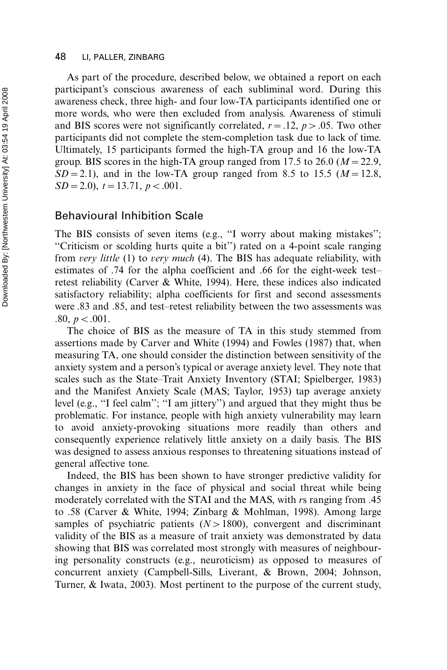As part of the procedure, described below, we obtained a report on each participant's conscious awareness of each subliminal word. During this awareness check, three high- and four low-TA participants identified one or more words, who were then excluded from analysis. Awareness of stimuli and BIS scores were not significantly correlated,  $r = .12$ ,  $p > .05$ . Two other participants did not complete the stem-completion task due to lack of time. Ultimately, 15 participants formed the high-TA group and 16 the low-TA group. BIS scores in the high-TA group ranged from 17.5 to 26.0 ( $M = 22.9$ ,  $SD = 2.1$ ), and in the low-TA group ranged from 8.5 to 15.5 ( $M = 12.8$ ,  $SD = 2.0$ ,  $t = 13.71$ ,  $p < .001$ .

#### Behavioural Inhibition Scale

The BIS consists of seven items (e.g., "I worry about making mistakes"; ''Criticism or scolding hurts quite a bit'') rated on a 4-point scale ranging from very little (1) to very much (4). The BIS has adequate reliability, with estimates of .74 for the alpha coefficient and .66 for the eight-week test retest reliability (Carver & White, 1994). Here, these indices also indicated satisfactory reliability; alpha coefficients for first and second assessments were .83 and .85, and test-retest reliability between the two assessments was  $.80, p < .001.$ 

The choice of BIS as the measure of TA in this study stemmed from assertions made by Carver and White (1994) and Fowles (1987) that, when measuring TA, one should consider the distinction between sensitivity of the anxiety system and a person's typical or average anxiety level. They note that scales such as the State–Trait Anxiety Inventory (STAI; Spielberger, 1983) and the Manifest Anxiety Scale (MAS; Taylor, 1953) tap average anxiety level (e.g., ''I feel calm''; ''I am jittery'') and argued that they might thus be problematic. For instance, people with high anxiety vulnerability may learn to avoid anxiety-provoking situations more readily than others and consequently experience relatively little anxiety on a daily basis. The BIS was designed to assess anxious responses to threatening situations instead of general affective tone.

Indeed, the BIS has been shown to have stronger predictive validity for changes in anxiety in the face of physical and social threat while being moderately correlated with the STAI and the MAS, with rs ranging from .45 to .58 (Carver & White, 1994; Zinbarg & Mohlman, 1998). Among large samples of psychiatric patients  $(N>1800)$ , convergent and discriminant validity of the BIS as a measure of trait anxiety was demonstrated by data showing that BIS was correlated most strongly with measures of neighbouring personality constructs (e.g., neuroticism) as opposed to measures of concurrent anxiety (Campbell-Sills, Liverant, & Brown, 2004; Johnson, Turner, & Iwata, 2003). Most pertinent to the purpose of the current study,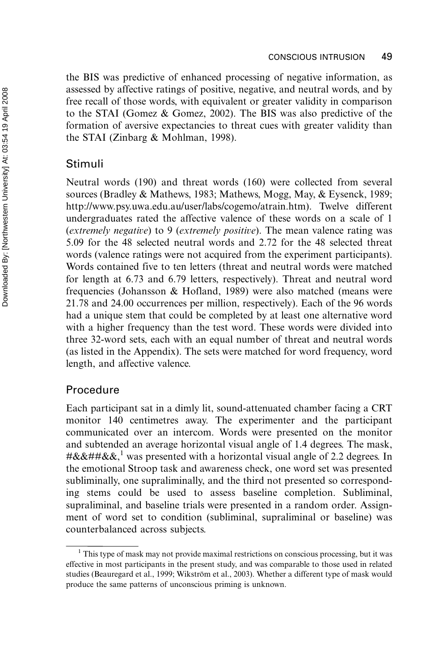the BIS was predictive of enhanced processing of negative information, as assessed by affective ratings of positive, negative, and neutral words, and by free recall of those words, with equivalent or greater validity in comparison to the STAI (Gomez & Gomez, 2002). The BIS was also predictive of the formation of aversive expectancies to threat cues with greater validity than the STAI (Zinbarg & Mohlman, 1998).

## Stimuli

Neutral words (190) and threat words (160) were collected from several sources (Bradley & Mathews, 1983; Mathews, Mogg, May, & Eysenck, 1989; http://www.psy.uwa.edu.au/user/labs/cogemo/atrain.htm). Twelve different undergraduates rated the affective valence of these words on a scale of 1 (extremely negative) to 9 (extremely positive). The mean valence rating was 5.09 for the 48 selected neutral words and 2.72 for the 48 selected threat words (valence ratings were not acquired from the experiment participants). Words contained five to ten letters (threat and neutral words were matched for length at 6.73 and 6.79 letters, respectively). Threat and neutral word frequencies (Johansson & Hofland, 1989) were also matched (means were 21.78 and 24.00 occurrences per million, respectively). Each of the 96 words had a unique stem that could be completed by at least one alternative word with a higher frequency than the test word. These words were divided into three 32-word sets, each with an equal number of threat and neutral words (as listed in the Appendix). The sets were matched for word frequency, word length, and affective valence.

## Procedure

Each participant sat in a dimly lit, sound-attenuated chamber facing a CRT monitor 140 centimetres away. The experimenter and the participant communicated over an intercom. Words were presented on the monitor and subtended an average horizontal visual angle of 1.4 degrees. The mask, #&&##&&,<sup>1</sup> was presented with a horizontal visual angle of 2.2 degrees. In the emotional Stroop task and awareness check, one word set was presented subliminally, one supraliminally, and the third not presented so corresponding stems could be used to assess baseline completion. Subliminal, supraliminal, and baseline trials were presented in a random order. Assignment of word set to condition (subliminal, supraliminal or baseline) was counterbalanced across subjects.

<sup>1</sup> This type of mask may not provide maximal restrictions on conscious processing, but it was effective in most participants in the present study, and was comparable to those used in related studies (Beauregard et al., 1999; Wikström et al., 2003). Whether a different type of mask would produce the same patterns of unconscious priming is unknown.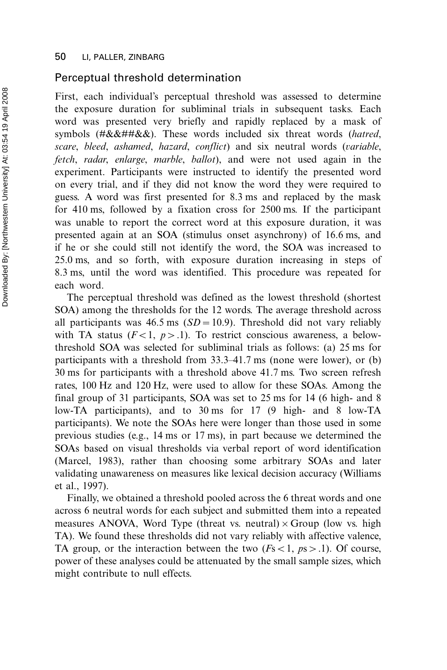#### Perceptual threshold determination

First, each individual's perceptual threshold was assessed to determine the exposure duration for subliminal trials in subsequent tasks. Each word was presented very briefly and rapidly replaced by a mask of symbols  $(\# \&\&\# \&\&\)$ . These words included six threat words (hatred, scare, bleed, ashamed, hazard, conflict) and six neutral words (variable, fetch, radar, enlarge, marble, ballot), and were not used again in the experiment. Participants were instructed to identify the presented word on every trial, and if they did not know the word they were required to guess. A word was first presented for 8.3 ms and replaced by the mask for 410 ms, followed by a fixation cross for 2500 ms. If the participant was unable to report the correct word at this exposure duration, it was presented again at an SOA (stimulus onset asynchrony) of 16.6 ms, and if he or she could still not identify the word, the SOA was increased to 25.0 ms, and so forth, with exposure duration increasing in steps of 8.3 ms, until the word was identified. This procedure was repeated for each word.

The perceptual threshold was defined as the lowest threshold (shortest SOA) among the thresholds for the 12 words. The average threshold across all participants was  $46.5 \text{ ms } (SD = 10.9)$ . Threshold did not vary reliably with TA status ( $F<1$ ,  $p>1$ ). To restrict conscious awareness, a belowthreshold SOA was selected for subliminal trials as follows: (a) 25 ms for participants with a threshold from 33.341.7 ms (none were lower), or (b) 30 ms for participants with a threshold above 41.7 ms. Two screen refresh rates, 100 Hz and 120 Hz, were used to allow for these SOAs. Among the final group of 31 participants, SOA was set to 25 ms for 14 (6 high- and 8 low-TA participants), and to 30 ms for 17 (9 high- and 8 low-TA participants). We note the SOAs here were longer than those used in some previous studies (e.g., 14 ms or 17 ms), in part because we determined the SOAs based on visual thresholds via verbal report of word identification (Marcel, 1983), rather than choosing some arbitrary SOAs and later validating unawareness on measures like lexical decision accuracy (Williams et al., 1997).

Finally, we obtained a threshold pooled across the 6 threat words and one across 6 neutral words for each subject and submitted them into a repeated measures ANOVA, Word Type (threat vs. neutral)  $\times$  Group (low vs. high TA). We found these thresholds did not vary reliably with affective valence, TA group, or the interaction between the two  $(Fs<1, ps>1)$ . Of course, power of these analyses could be attenuated by the small sample sizes, which might contribute to null effects.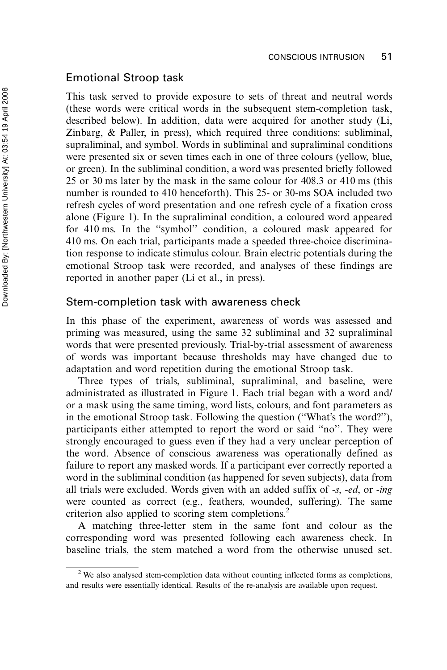#### Emotional Stroop task

This task served to provide exposure to sets of threat and neutral words (these words were critical words in the subsequent stem-completion task, described below). In addition, data were acquired for another study (Li, Zinbarg, & Paller, in press), which required three conditions: subliminal, supraliminal, and symbol. Words in subliminal and supraliminal conditions were presented six or seven times each in one of three colours (yellow, blue, or green). In the subliminal condition, a word was presented briefly followed 25 or 30 ms later by the mask in the same colour for 408.3 or 410 ms (this number is rounded to 410 henceforth). This 25- or 30-ms SOA included two refresh cycles of word presentation and one refresh cycle of a fixation cross alone (Figure 1). In the supraliminal condition, a coloured word appeared for 410 ms. In the ''symbol'' condition, a coloured mask appeared for 410 ms. On each trial, participants made a speeded three-choice discrimination response to indicate stimulus colour. Brain electric potentials during the emotional Stroop task were recorded, and analyses of these findings are reported in another paper (Li et al., in press).

#### Stem-completion task with awareness check

In this phase of the experiment, awareness of words was assessed and priming was measured, using the same 32 subliminal and 32 supraliminal words that were presented previously. Trial-by-trial assessment of awareness of words was important because thresholds may have changed due to adaptation and word repetition during the emotional Stroop task.

Three types of trials, subliminal, supraliminal, and baseline, were administrated as illustrated in Figure 1. Each trial began with a word and/ or a mask using the same timing, word lists, colours, and font parameters as in the emotional Stroop task. Following the question (''What's the word?''), participants either attempted to report the word or said ''no''. They were strongly encouraged to guess even if they had a very unclear perception of the word. Absence of conscious awareness was operationally defined as failure to report any masked words. If a participant ever correctly reported a word in the subliminal condition (as happened for seven subjects), data from all trials were excluded. Words given with an added suffix of  $-s$ ,  $-ed$ , or  $-ing$ were counted as correct (e.g., feathers, wounded, suffering). The same criterion also applied to scoring stem completions.<sup>2</sup>

A matching three-letter stem in the same font and colour as the corresponding word was presented following each awareness check. In baseline trials, the stem matched a word from the otherwise unused set.

 $2$  We also analysed stem-completion data without counting inflected forms as completions, and results were essentially identical. Results of the re-analysis are available upon request.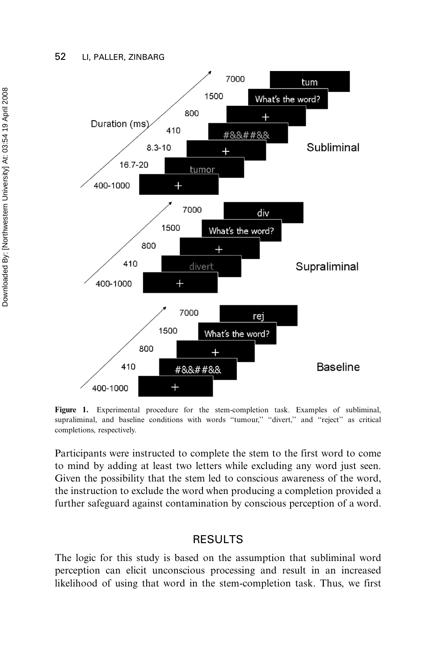

Figure 1. Experimental procedure for the stem-completion task. Examples of subliminal, supraliminal, and baseline conditions with words "tumour," "divert," and "reject" as critical completions, respectively.

Participants were instructed to complete the stem to the first word to come to mind by adding at least two letters while excluding any word just seen. Given the possibility that the stem led to conscious awareness of the word, the instruction to exclude the word when producing a completion provided a further safeguard against contamination by conscious perception of a word.

## RESULTS

The logic for this study is based on the assumption that subliminal word perception can elicit unconscious processing and result in an increased likelihood of using that word in the stem-completion task. Thus, we first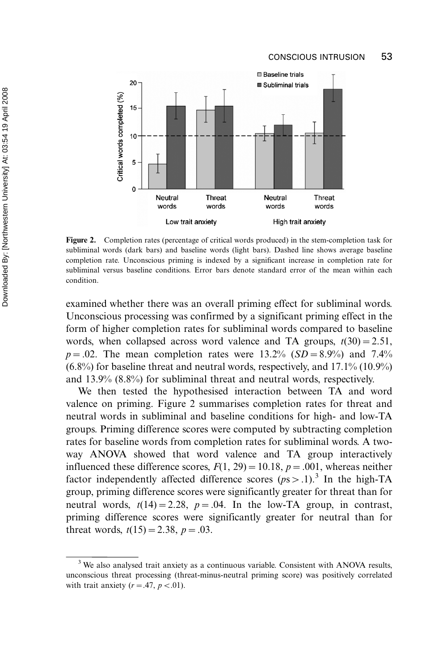

Figure 2. Completion rates (percentage of critical words produced) in the stem-completion task for subliminal words (dark bars) and baseline words (light bars). Dashed line shows average baseline completion rate. Unconscious priming is indexed by a significant increase in completion rate for subliminal versus baseline conditions. Error bars denote standard error of the mean within each condition.

examined whether there was an overall priming effect for subliminal words. Unconscious processing was confirmed by a significant priming effect in the form of higher completion rates for subliminal words compared to baseline words, when collapsed across word valence and TA groups,  $t(30) = 2.51$ ,  $p = .02$ . The mean completion rates were 13.2% (SD = 8.9%) and 7.4% (6.8%) for baseline threat and neutral words, respectively, and 17.1% (10.9%) and 13.9% (8.8%) for subliminal threat and neutral words, respectively.

We then tested the hypothesised interaction between TA and word valence on priming. Figure 2 summarises completion rates for threat and neutral words in subliminal and baseline conditions for high- and low-TA groups. Priming difference scores were computed by subtracting completion rates for baseline words from completion rates for subliminal words. A twoway ANOVA showed that word valence and TA group interactively influenced these difference scores,  $F(1, 29) = 10.18$ ,  $p = .001$ , whereas neither factor independently affected difference scores  $(ps > .1)^3$  In the high-TA group, priming difference scores were significantly greater for threat than for neutral words,  $t(14) = 2.28$ ,  $p = .04$ . In the low-TA group, in contrast, priming difference scores were significantly greater for neutral than for threat words,  $t(15) = 2.38$ ,  $p = .03$ .

<sup>&</sup>lt;sup>3</sup> We also analysed trait anxiety as a continuous variable. Consistent with ANOVA results, unconscious threat processing (threat-minus-neutral priming score) was positively correlated with trait anxiety  $(r = .47, p < .01)$ .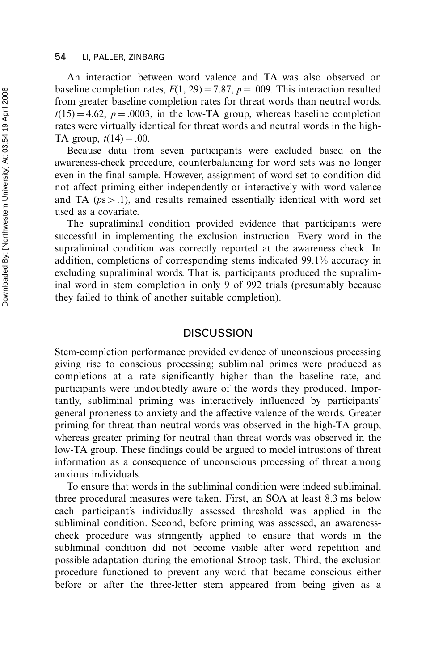An interaction between word valence and TA was also observed on baseline completion rates,  $F(1, 29) = 7.87$ ,  $p = .009$ . This interaction resulted from greater baseline completion rates for threat words than neutral words,  $t(15) = 4.62$ ,  $p = .0003$ , in the low-TA group, whereas baseline completion rates were virtually identical for threat words and neutral words in the high-TA group,  $t(14) = .00$ .

Because data from seven participants were excluded based on the awareness-check procedure, counterbalancing for word sets was no longer even in the final sample. However, assignment of word set to condition did not affect priming either independently or interactively with word valence and TA ( $ps > 0.1$ ), and results remained essentially identical with word set used as a covariate.

The supraliminal condition provided evidence that participants were successful in implementing the exclusion instruction. Every word in the supraliminal condition was correctly reported at the awareness check. In addition, completions of corresponding stems indicated 99.1% accuracy in excluding supraliminal words. That is, participants produced the supraliminal word in stem completion in only 9 of 992 trials (presumably because they failed to think of another suitable completion).

#### **DISCUSSION**

Stem-completion performance provided evidence of unconscious processing giving rise to conscious processing; subliminal primes were produced as completions at a rate significantly higher than the baseline rate, and participants were undoubtedly aware of the words they produced. Importantly, subliminal priming was interactively influenced by participants' general proneness to anxiety and the affective valence of the words. Greater priming for threat than neutral words was observed in the high-TA group, whereas greater priming for neutral than threat words was observed in the low-TA group. These findings could be argued to model intrusions of threat information as a consequence of unconscious processing of threat among anxious individuals.

To ensure that words in the subliminal condition were indeed subliminal, three procedural measures were taken. First, an SOA at least 8.3 ms below each participant's individually assessed threshold was applied in the subliminal condition. Second, before priming was assessed, an awarenesscheck procedure was stringently applied to ensure that words in the subliminal condition did not become visible after word repetition and possible adaptation during the emotional Stroop task. Third, the exclusion procedure functioned to prevent any word that became conscious either before or after the three-letter stem appeared from being given as a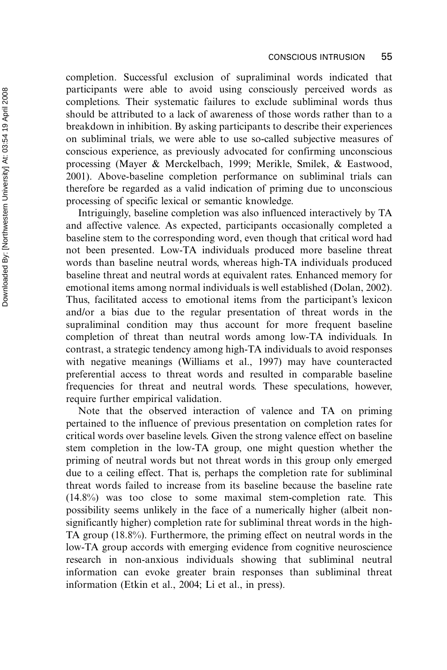completion. Successful exclusion of supraliminal words indicated that participants were able to avoid using consciously perceived words as completions. Their systematic failures to exclude subliminal words thus should be attributed to a lack of awareness of those words rather than to a breakdown in inhibition. By asking participants to describe their experiences on subliminal trials, we were able to use so-called subjective measures of conscious experience, as previously advocated for confirming unconscious processing (Mayer & Merckelbach, 1999; Merikle, Smilek, & Eastwood, 2001). Above-baseline completion performance on subliminal trials can therefore be regarded as a valid indication of priming due to unconscious processing of specific lexical or semantic knowledge.

Intriguingly, baseline completion was also influenced interactively by TA and affective valence. As expected, participants occasionally completed a baseline stem to the corresponding word, even though that critical word had not been presented. Low-TA individuals produced more baseline threat words than baseline neutral words, whereas high-TA individuals produced baseline threat and neutral words at equivalent rates. Enhanced memory for emotional items among normal individuals is well established (Dolan, 2002). Thus, facilitated access to emotional items from the participant's lexicon and/or a bias due to the regular presentation of threat words in the supraliminal condition may thus account for more frequent baseline completion of threat than neutral words among low-TA individuals. In contrast, a strategic tendency among high-TA individuals to avoid responses with negative meanings (Williams et al., 1997) may have counteracted preferential access to threat words and resulted in comparable baseline frequencies for threat and neutral words. These speculations, however, require further empirical validation.

Note that the observed interaction of valence and TA on priming pertained to the influence of previous presentation on completion rates for critical words over baseline levels. Given the strong valence effect on baseline stem completion in the low-TA group, one might question whether the priming of neutral words but not threat words in this group only emerged due to a ceiling effect. That is, perhaps the completion rate for subliminal threat words failed to increase from its baseline because the baseline rate (14.8%) was too close to some maximal stem-completion rate. This possibility seems unlikely in the face of a numerically higher (albeit nonsignificantly higher) completion rate for subliminal threat words in the high-TA group (18.8%). Furthermore, the priming effect on neutral words in the low-TA group accords with emerging evidence from cognitive neuroscience research in non-anxious individuals showing that subliminal neutral information can evoke greater brain responses than subliminal threat information (Etkin et al., 2004; Li et al., in press).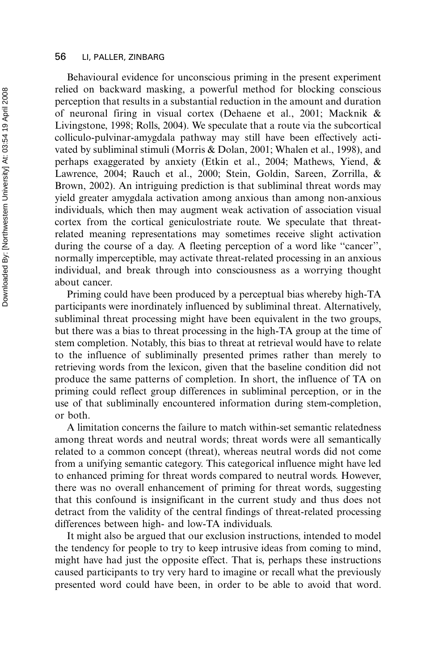Behavioural evidence for unconscious priming in the present experiment relied on backward masking, a powerful method for blocking conscious perception that results in a substantial reduction in the amount and duration of neuronal firing in visual cortex (Dehaene et al., 2001; Macknik & Livingstone, 1998; Rolls, 2004). We speculate that a route via the subcortical colliculo-pulvinar-amygdala pathway may still have been effectively activated by subliminal stimuli (Morris & Dolan, 2001; Whalen et al., 1998), and perhaps exaggerated by anxiety (Etkin et al., 2004; Mathews, Yiend, & Lawrence, 2004; Rauch et al., 2000; Stein, Goldin, Sareen, Zorrilla, & Brown, 2002). An intriguing prediction is that subliminal threat words may yield greater amygdala activation among anxious than among non-anxious individuals, which then may augment weak activation of association visual cortex from the cortical geniculostriate route. We speculate that threatrelated meaning representations may sometimes receive slight activation during the course of a day. A fleeting perception of a word like "cancer", normally imperceptible, may activate threat-related processing in an anxious individual, and break through into consciousness as a worrying thought about cancer.

Priming could have been produced by a perceptual bias whereby high-TA participants were inordinately influenced by subliminal threat. Alternatively, subliminal threat processing might have been equivalent in the two groups, but there was a bias to threat processing in the high-TA group at the time of stem completion. Notably, this bias to threat at retrieval would have to relate to the influence of subliminally presented primes rather than merely to retrieving words from the lexicon, given that the baseline condition did not produce the same patterns of completion. In short, the influence of TA on priming could reflect group differences in subliminal perception, or in the use of that subliminally encountered information during stem-completion, or both.

A limitation concerns the failure to match within-set semantic relatedness among threat words and neutral words; threat words were all semantically related to a common concept (threat), whereas neutral words did not come from a unifying semantic category. This categorical influence might have led to enhanced priming for threat words compared to neutral words. However, there was no overall enhancement of priming for threat words, suggesting that this confound is insignificant in the current study and thus does not detract from the validity of the central findings of threat-related processing differences between high- and low-TA individuals.

It might also be argued that our exclusion instructions, intended to model the tendency for people to try to keep intrusive ideas from coming to mind, might have had just the opposite effect. That is, perhaps these instructions caused participants to try very hard to imagine or recall what the previously presented word could have been, in order to be able to avoid that word.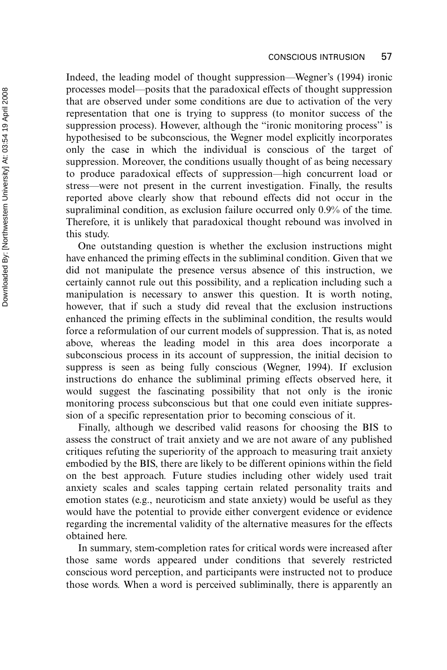Indeed, the leading model of thought suppression—Wegner's (1994) ironic processes model—posits that the paradoxical effects of thought suppression that are observed under some conditions are due to activation of the very representation that one is trying to suppress (to monitor success of the suppression process). However, although the "ironic monitoring process" is hypothesised to be subconscious, the Wegner model explicitly incorporates only the case in which the individual is conscious of the target of suppression. Moreover, the conditions usually thought of as being necessary to produce paradoxical effects of suppression\*high concurrent load or stress—were not present in the current investigation. Finally, the results reported above clearly show that rebound effects did not occur in the supraliminal condition, as exclusion failure occurred only 0.9% of the time. Therefore, it is unlikely that paradoxical thought rebound was involved in this study.

One outstanding question is whether the exclusion instructions might have enhanced the priming effects in the subliminal condition. Given that we did not manipulate the presence versus absence of this instruction, we certainly cannot rule out this possibility, and a replication including such a manipulation is necessary to answer this question. It is worth noting, however, that if such a study did reveal that the exclusion instructions enhanced the priming effects in the subliminal condition, the results would force a reformulation of our current models of suppression. That is, as noted above, whereas the leading model in this area does incorporate a subconscious process in its account of suppression, the initial decision to suppress is seen as being fully conscious (Wegner, 1994). If exclusion instructions do enhance the subliminal priming effects observed here, it would suggest the fascinating possibility that not only is the ironic monitoring process subconscious but that one could even initiate suppression of a specific representation prior to becoming conscious of it.

Finally, although we described valid reasons for choosing the BIS to assess the construct of trait anxiety and we are not aware of any published critiques refuting the superiority of the approach to measuring trait anxiety embodied by the BIS, there are likely to be different opinions within the field on the best approach. Future studies including other widely used trait anxiety scales and scales tapping certain related personality traits and emotion states (e.g., neuroticism and state anxiety) would be useful as they would have the potential to provide either convergent evidence or evidence regarding the incremental validity of the alternative measures for the effects obtained here.

In summary, stem-completion rates for critical words were increased after those same words appeared under conditions that severely restricted conscious word perception, and participants were instructed not to produce those words. When a word is perceived subliminally, there is apparently an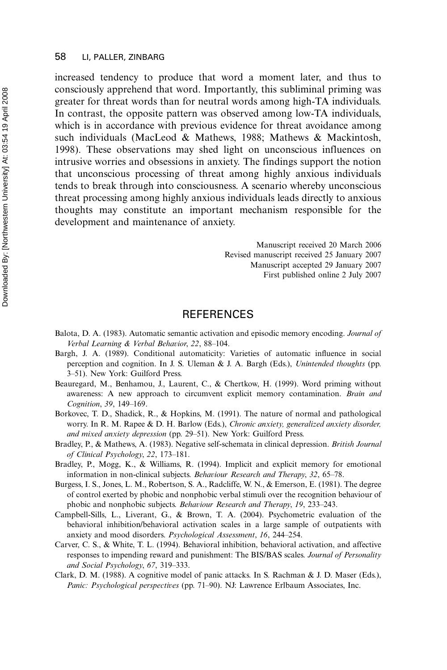increased tendency to produce that word a moment later, and thus to consciously apprehend that word. Importantly, this subliminal priming was greater for threat words than for neutral words among high-TA individuals. In contrast, the opposite pattern was observed among low-TA individuals, which is in accordance with previous evidence for threat avoidance among such individuals (MacLeod & Mathews, 1988; Mathews & Mackintosh, 1998). These observations may shed light on unconscious influences on intrusive worries and obsessions in anxiety. The findings support the notion that unconscious processing of threat among highly anxious individuals tends to break through into consciousness. A scenario whereby unconscious threat processing among highly anxious individuals leads directly to anxious thoughts may constitute an important mechanism responsible for the development and maintenance of anxiety.

> Manuscript received 20 March 2006 Revised manuscript received 25 January 2007 Manuscript accepted 29 January 2007 First published online 2 July 2007

### REFERENCES

- Balota, D. A. (1983). Automatic semantic activation and episodic memory encoding. Journal of Verbal Learning & Verbal Behavior, 22, 88-104.
- Bargh, J. A. (1989). Conditional automaticity: Varieties of automatic influence in social perception and cognition. In J. S. Uleman & J. A. Bargh (Eds.), Unintended thoughts (pp. 3-51). New York: Guilford Press.
- Beauregard, M., Benhamou, J., Laurent, C., & Chertkow, H. (1999). Word priming without awareness: A new approach to circumvent explicit memory contamination. Brain and Cognition, 39, 149-169.
- Borkovec, T. D., Shadick, R., & Hopkins, M. (1991). The nature of normal and pathological worry. In R. M. Rapee & D. H. Barlow (Eds.), Chronic anxiety, generalized anxiety disorder, and mixed anxiety depression (pp. 29-51). New York: Guilford Press.
- Bradley, P., & Mathews, A. (1983). Negative self-schemata in clinical depression. British Journal of Clinical Psychology, 22, 173-181.
- Bradley, P., Mogg, K., & Williams, R. (1994). Implicit and explicit memory for emotional information in non-clinical subjects. Behaviour Research and Therapy, 32, 65-78.
- Burgess, I. S., Jones, L. M., Robertson, S. A., Radcliffe, W. N., & Emerson, E. (1981). The degree of control exerted by phobic and nonphobic verbal stimuli over the recognition behaviour of phobic and nonphobic subjects. Behaviour Research and Therapy, 19, 233-243.
- Campbell-Sills, L., Liverant, G., & Brown, T. A. (2004). Psychometric evaluation of the behavioral inhibition/behavioral activation scales in a large sample of outpatients with anxiety and mood disorders. *Psychological Assessment*, 16, 244–254.
- Carver, C. S., & White, T. L. (1994). Behavioral inhibition, behavioral activation, and affective responses to impending reward and punishment: The BIS/BAS scales. Journal of Personality and Social Psychology, 67, 319-333.
- Clark, D. M. (1988). A cognitive model of panic attacks. In S. Rachman & J. D. Maser (Eds.), Panic: Psychological perspectives (pp. 71-90). NJ: Lawrence Erlbaum Associates, Inc.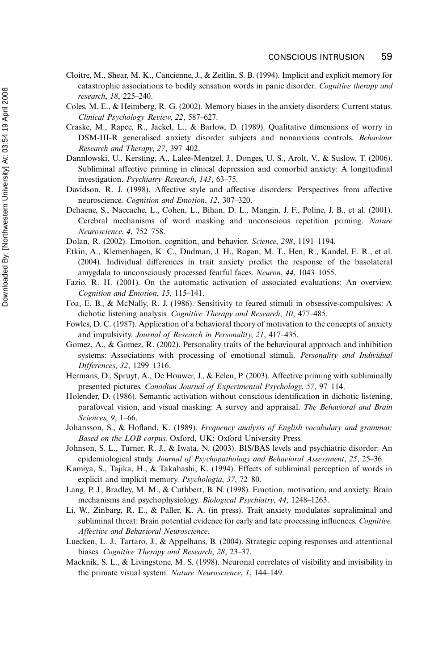- Cloitre, M., Shear, M. K., Cancienne, J., & Zeitlin, S. B. (1994). Implicit and explicit memory for catastrophic associations to bodily sensation words in panic disorder. Cognitive therapy and research, 18, 225-240.
- Coles, M. E., & Heimberg, R. G. (2002). Memory biases in the anxiety disorders: Current status. Clinical Psychology Review, 22, 587-627.
- Craske, M., Rapee, R., Jackel, L., & Barlow, D. (1989). Qualitative dimensions of worry in DSM-III-R generalised anxiety disorder subjects and nonanxious controls. Behaviour Research and Therapy, 27, 397-402.
- Dannlowski, U., Kersting, A., Lalee-Mentzel, J., Donges, U. S., Arolt, V., & Suslow, T. (2006). Subliminal affective priming in clinical depression and comorbid anxiety: A longitudinal investigation. Psychiatry Research, 143, 63-75.
- Davidson, R. J. (1998). Affective style and affective disorders: Perspectives from affective neuroscience. Cognition and Emotion, 12, 307-320.
- Dehaene, S., Naccache, L., Cohen, L., Bihan, D. L., Mangin, J. F., Poline, J. B., et al. (2001). Cerebral mechanisms of word masking and unconscious repetition priming. Nature Neuroscience, 4, 752-758.
- Dolan, R. (2002). Emotion, cognition, and behavior. Science, 298, 1191-1194.
- Etkin, A., Klemenhagen, K. C., Dudman, J. H., Rogan, M. T., Hen, R., Kandel, E. R., et al. (2004). Individual differences in trait anxiety predict the response of the basolateral amygdala to unconsciously processed fearful faces. Neuron, 44, 1043–1055.
- Fazio, R. H. (2001). On the automatic activation of associated evaluations: An overview. Cognition and Emotion, 15, 115-141.
- Foa, E. B., & McNally, R. J. (1986). Sensitivity to feared stimuli in obsessive-compulsives: A dichotic listening analysis. Cognitive Therapy and Research, 10, 477–485.
- Fowles, D. C. (1987). Application of a behavioral theory of motivation to the concepts of anxiety and impulsivity. Journal of Research in Personality, 21, 417-435.
- Gomez, A., & Gomez, R. (2002). Personality traits of the behavioural approach and inhibition systems: Associations with processing of emotional stimuli. Personality and Individual Differences, 32, 1299-1316.
- Hermans, D., Spruyt, A., De Houwer, J., & Eelen, P. (2003). Affective priming with subliminally presented pictures. Canadian Journal of Experimental Psychology, 57, 97-114.
- Holender, D. (1986). Semantic activation without conscious identification in dichotic listening, parafoveal vision, and visual masking: A survey and appraisal. The Behavioral and Brain Sciences, 9, 1-66.
- Johansson, S., & Hofland, K. (1989). *Frequency analysis of English vocabulary and grammar:* Based on the LOB corpus. Oxford, UK: Oxford University Press.
- Johnson, S. L., Turner, R. J., & Iwata, N. (2003). BIS/BAS levels and psychiatric disorder: An epidemiological study. Journal of Psychopathology and Behavioral Assessment,  $25$ ,  $25-36$ .
- Kamiya, S., Tajika, H., & Takahashi, K. (1994). Effects of subliminal perception of words in explicit and implicit memory. *Psychologia*, 37, 72–80.
- Lang, P. J., Bradley, M. M., & Cuthbert, B. N. (1998). Emotion, motivation, and anxiety: Brain mechanisms and psychophysiology. Biological Psychiatry, 44, 1248-1263.
- Li, W., Zinbarg, R. E., & Paller, K. A. (in press). Trait anxiety modulates supraliminal and subliminal threat: Brain potential evidence for early and late processing influences. Cognitive, Affective and Behavioral Neuroscience.
- Luecken, L. J., Tartaro, J., & Appelhans, B. (2004). Strategic coping responses and attentional biases. Cognitive Therapy and Research, 28, 23-37.
- Macknik, S. L., & Livingstone, M. S. (1998). Neuronal correlates of visibility and invisibility in the primate visual system. Nature Neuroscience, 1, 144–149.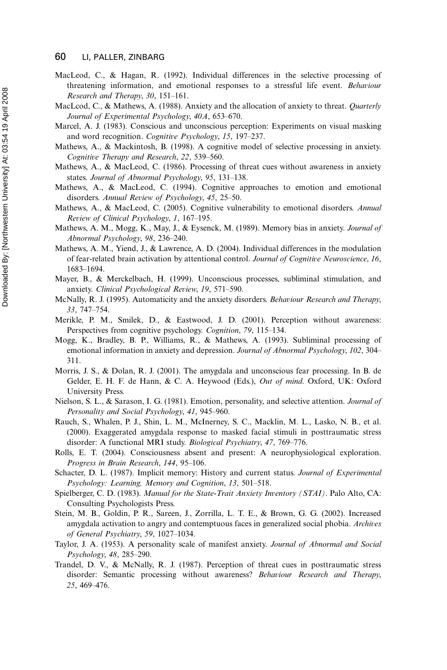- MacLeod, C., & Hagan, R. (1992). Individual differences in the selective processing of threatening information, and emotional responses to a stressful life event. Behaviour Research and Therapy,  $30, 151-161$ .
- MacLcod, C., & Mathews, A. (1988). Anxiety and the allocation of anxiety to threat. Quarterly Journal of Experimental Psychology,  $40A$ , 653-670.
- Marcel, A. J. (1983). Conscious and unconscious perception: Experiments on visual masking and word recognition. Cognitive Psychology, 15, 197-237.
- Mathews, A., & Mackintosh, B. (1998). A cognitive model of selective processing in anxiety. Cognitive Therapy and Research, 22, 539-560.
- Mathews, A., & MacLeod, C. (1986). Processing of threat cues without awareness in anxiety states. Journal of Abnormal Psychology, 95, 131-138.
- Mathews, A., & MacLeod, C. (1994). Cognitive approaches to emotion and emotional disorders. Annual Review of Psychology, 45, 25–50.
- Mathews, A., & MacLeod, C. (2005). Cognitive vulnerability to emotional disorders. Annual Review of Clinical Psychology, 1, 167-195.
- Mathews, A. M., Mogg, K., May, J., & Eysenck, M. (1989). Memory bias in anxiety. Journal of Abnormal Psychology, 98, 236-240.
- Mathews, A. M., Yiend, J., & Lawrence, A. D. (2004). Individual differences in the modulation of fear-related brain activation by attentional control. Journal of Cognitive Neuroscience, 16, 1683-1694.
- Mayer, B., & Merckelbach, H. (1999). Unconscious processes, subliminal stimulation, and anxiety. Clinical Psychological Review, 19, 571-590.
- McNally, R. J. (1995). Automaticity and the anxiety disorders. Behaviour Research and Therapy, 33, 747-754.
- Merikle, P. M., Smilek, D., & Eastwood, J. D. (2001). Perception without awareness: Perspectives from cognitive psychology. Cognition, 79, 115–134.
- Mogg, K., Bradley, B. P., Williams, R., & Mathews, A. (1993). Subliminal processing of emotional information in anxiety and depression. Journal of Abnormal Psychology, 102, 304-311.
- Morris, J. S., & Dolan, R. J. (2001). The amygdala and unconscious fear processing. In B. de Gelder, E. H. F. de Hann, & C. A. Heywood (Eds.), Out of mind. Oxford, UK: Oxford University Press.
- Nielson, S. L., & Sarason, I. G. (1981). Emotion, personality, and selective attention. Journal of Personality and Social Psychology, 41, 945-960.
- Rauch, S., Whalen, P. J., Shin, L. M., McInerney, S. C., Macklin, M. L., Lasko, N. B., et al. (2000). Exaggerated amygdala response to masked facial stimuli in posttraumatic stress disorder: A functional MRI study. Biological Psychiatry, 47, 769-776.
- Rolls, E. T. (2004). Consciousness absent and present: A neurophysiological exploration. Progress in Brain Research, 144, 95-106.
- Schacter, D. L. (1987). Implicit memory: History and current status. Journal of Experimental Psychology: Learning, Memory and Cognition, 13, 501-518.
- Spielberger, C. D. (1983). Manual for the State-Trait Anxiety Inventory (STAI). Palo Alto, CA: Consulting Psychologists Press.
- Stein, M. B., Goldin, P. R., Sareen, J., Zorrilla, L. T. E., & Brown, G. G. (2002). Increased amygdala activation to angry and contemptuous faces in generalized social phobia. Archives of General Psychiatry, 59, 1027-1034.
- Taylor, J. A. (1953). A personality scale of manifest anxiety. Journal of Abnormal and Social Psychology, 48, 285-290.
- Trandel, D. V., & McNally, R. J. (1987). Perception of threat cues in posttraumatic stress disorder: Semantic processing without awareness? Behaviour Research and Therapy, 25, 469-476.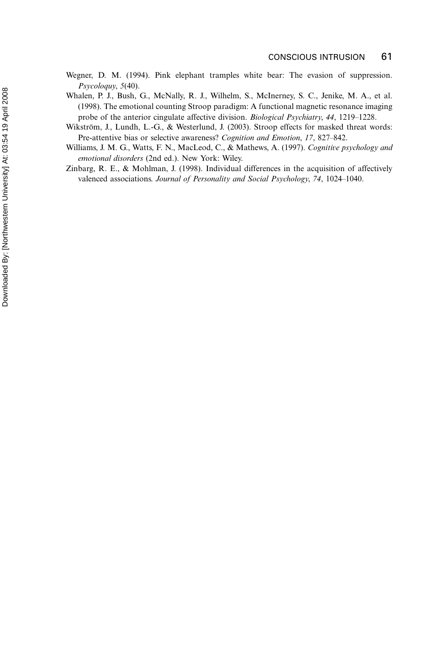- Wegner, D. M. (1994). Pink elephant tramples white bear: The evasion of suppression. Psycoloquy, 5(40).
- Whalen, P. J., Bush, G., McNally, R. J., Wilhelm, S., McInerney, S. C., Jenike, M. A., et al. (1998). The emotional counting Stroop paradigm: A functional magnetic resonance imaging probe of the anterior cingulate affective division. Biological Psychiatry, 44, 1219–1228.
- Wikström, J., Lundh, L.-G., & Westerlund, J. (2003). Stroop effects for masked threat words: Pre-attentive bias or selective awareness? Cognition and Emotion, 17, 827-842.
- Williams, J. M. G., Watts, F. N., MacLeod, C., & Mathews, A. (1997). Cognitive psychology and emotional disorders (2nd ed.). New York: Wiley.
- Zinbarg, R. E., & Mohlman, J. (1998). Individual differences in the acquisition of affectively valenced associations. Journal of Personality and Social Psychology, 74, 1024-1040.